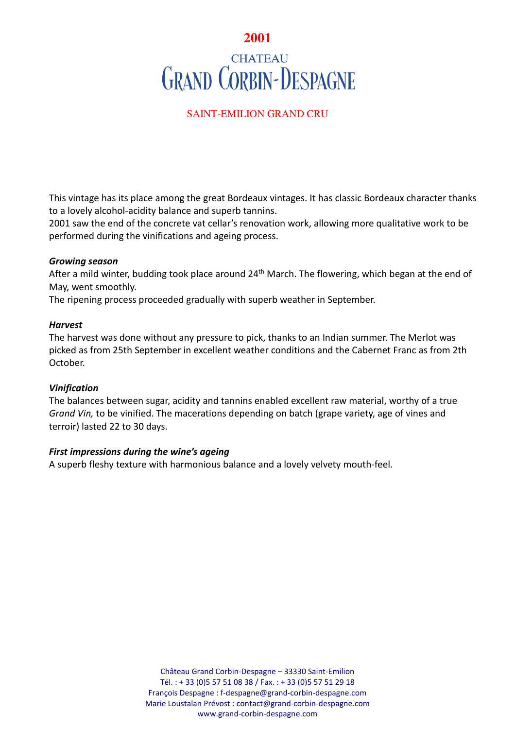# **2001 CHATEAU GRAND CORBIN-DESPAGNE**

## SAINT-EMILION GRAND CRU

This vintage has its place among the great Bordeaux vintages. It has classic Bordeaux character thanks to a lovely alcohol-acidity balance and superb tannins.

2001 saw the end of the concrete vat cellar's renovation work, allowing more qualitative work to be performed during the vinifications and ageing process.

### *Growing season*

After a mild winter, budding took place around 24<sup>th</sup> March. The flowering, which began at the end of May, went smoothly.

The ripening process proceeded gradually with superb weather in September.

### *Harvest*

The harvest was done without any pressure to pick, thanks to an Indian summer. The Merlot was picked as from 25th September in excellent weather conditions and the Cabernet Franc as from 2th October.

## *Vinification*

The balances between sugar, acidity and tannins enabled excellent raw material, worthy of a true *Grand Vin,* to be vinified. The macerations depending on batch (grape variety, age of vines and terroir) lasted 22 to 30 days.

## *First impressions during the wine's ageing*

A superb fleshy texture with harmonious balance and a lovely velvety mouth-feel.